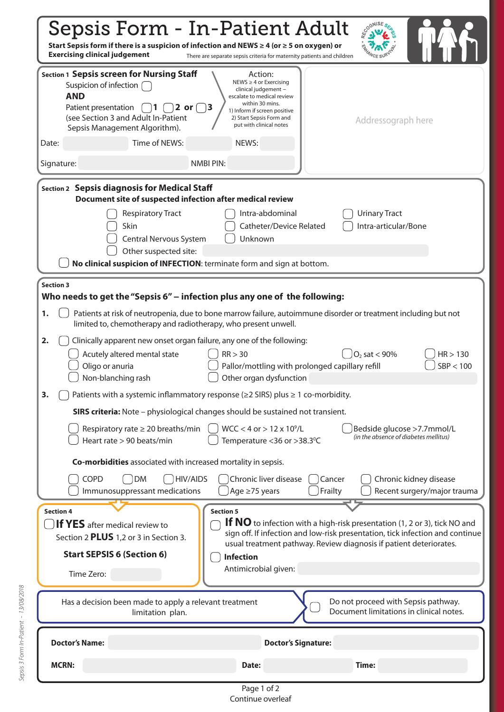| <b>COGNISE SES</b><br>Sepsis Form - In-Patient Adult<br>Start Sepsis form if there is a suspicion of infection and NEWS $\geq$ 4 (or $\geq$ 5 on oxygen) or<br><b>Exercising clinical judgement</b><br>There are separate sepsis criteria for maternity patients and children |                                                                                                                                                                                                                                                                                                  |  |  |
|-------------------------------------------------------------------------------------------------------------------------------------------------------------------------------------------------------------------------------------------------------------------------------|--------------------------------------------------------------------------------------------------------------------------------------------------------------------------------------------------------------------------------------------------------------------------------------------------|--|--|
| <b>Section 1 Sepsis screen for Nursing Staff</b><br>Suspicion of infection [<br><b>AND</b><br>Patient presentation<br>2 or $\vert$<br>(see Section 3 and Adult In-Patient<br>Sepsis Management Algorithm).                                                                    | Action:<br>NEWS $\geq$ 4 or Exercising<br>clinical judgement -<br>escalate to medical review<br>within 30 mins.<br>13<br>1) Inform if screen positive<br>2) Start Sepsis Form and<br>Addressograph here<br>put with clinical notes                                                               |  |  |
| Time of NEWS:<br>Date:<br>Signature:                                                                                                                                                                                                                                          | NEWS:<br><b>NMBI PIN:</b>                                                                                                                                                                                                                                                                        |  |  |
|                                                                                                                                                                                                                                                                               |                                                                                                                                                                                                                                                                                                  |  |  |
| Section 2 Sepsis diagnosis for Medical Staff<br>Document site of suspected infection after medical review                                                                                                                                                                     |                                                                                                                                                                                                                                                                                                  |  |  |
| <b>Respiratory Tract</b><br>Skin<br>Central Nervous System<br>Other suspected site:<br>No clinical suspicion of INFECTION: terminate form and sign at bottom.                                                                                                                 | <b>Urinary Tract</b><br>Intra-abdominal<br>Intra-articular/Bone<br>Catheter/Device Related<br>Unknown                                                                                                                                                                                            |  |  |
| <b>Section 3</b>                                                                                                                                                                                                                                                              |                                                                                                                                                                                                                                                                                                  |  |  |
| Who needs to get the "Sepsis 6" - infection plus any one of the following:<br>Patients at risk of neutropenia, due to bone marrow failure, autoimmune disorder or treatment including but not<br>1.<br>limited to, chemotherapy and radiotherapy, who present unwell.         |                                                                                                                                                                                                                                                                                                  |  |  |
| 2.<br>Clinically apparent new onset organ failure, any one of the following:<br>Acutely altered mental state<br>Oligo or anuria<br>Non-blanching rash                                                                                                                         | $\vert$ O <sub>2</sub> sat < 90%<br>RR > 30<br>HR > 130<br>SBP < 100<br>Pallor/mottling with prolonged capillary refill<br>Other organ dysfunction                                                                                                                                               |  |  |
| Patients with a systemic inflammatory response (≥2 SIRS) plus ≥ 1 co-morbidity.<br>3.                                                                                                                                                                                         |                                                                                                                                                                                                                                                                                                  |  |  |
| <b>SIRS criteria:</b> Note - physiological changes should be sustained not transient.                                                                                                                                                                                         |                                                                                                                                                                                                                                                                                                  |  |  |
| Respiratory rate $\geq 20$ breaths/min<br>Heart rate > 90 beats/min                                                                                                                                                                                                           | $WCC < 4$ or $> 12 \times 10^9/L$<br>Bedside glucose >7.7mmol/L<br>(in the absence of diabetes mellitus)<br>Temperature < 36 or > 38.3°C                                                                                                                                                         |  |  |
| Co-morbidities associated with increased mortality in sepsis.                                                                                                                                                                                                                 |                                                                                                                                                                                                                                                                                                  |  |  |
| COPD<br><b>HIV/AIDS</b><br><b>DM</b><br>Immunosuppressant medications                                                                                                                                                                                                         | Chronic liver disease<br>Chronic kidney disease<br>Cancer<br>Frailty<br>Age ≥75 years<br>Recent surgery/major trauma                                                                                                                                                                             |  |  |
| <b>Section 4</b><br>If YES after medical review to<br>Section 2 PLUS 1,2 or 3 in Section 3.<br><b>Start SEPSIS 6 (Section 6)</b><br>Time Zero:                                                                                                                                | <b>Section 5</b><br>If NO to infection with a high-risk presentation (1, 2 or 3), tick NO and<br>sign off. If infection and low-risk presentation, tick infection and continue<br>usual treatment pathway. Review diagnosis if patient deteriorates.<br><b>Infection</b><br>Antimicrobial given: |  |  |
| Has a decision been made to apply a relevant treatment<br>limitation plan.                                                                                                                                                                                                    | Do not proceed with Sepsis pathway.<br>Document limitations in clinical notes.                                                                                                                                                                                                                   |  |  |
| <b>Doctor's Name:</b>                                                                                                                                                                                                                                                         | <b>Doctor's Signature:</b>                                                                                                                                                                                                                                                                       |  |  |
| <b>MCRN:</b>                                                                                                                                                                                                                                                                  | Time:<br>Date:                                                                                                                                                                                                                                                                                   |  |  |
|                                                                                                                                                                                                                                                                               | Page 1 of 2                                                                                                                                                                                                                                                                                      |  |  |